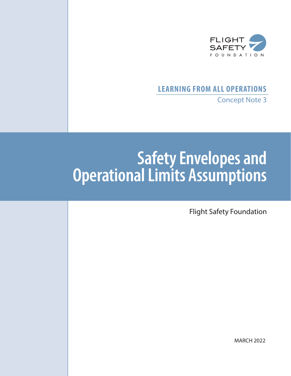

## **LEARNING FROM ALL OPERATIONS** Concept Note 3

# **Safety Envelopes and Operational Limits Assumptions**

Flight Safety Foundation

MARCH 2022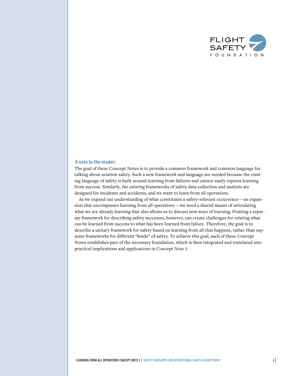

#### **A note to the reader:**

The goal of these Concept Notes is to provide a common framework and common language for talking about aviation safety. Such a new framework and language are needed because the existing language of safety is built around learning from failures and cannot easily express learning from success. Similarly, the existing frameworks of safety data collection and analysis are designed for incidents and accidents, and we want to learn from all operations.

As we expand our understanding of what constitutes a safety-relevant occurrence—an expansion that encompasses learning from all operations—we need a shared means of articulating what we are already learning that also allows us to discuss new ways of learning. Positing a separate framework for describing safety successes, however, can create challenges for relating what can be learned from success to what has been learned from failure. Therefore, the goal is to describe a unitary framework for safety based on learning from all that happens, rather than separate frameworks for different "kinds" of safety. To achieve this goal, each of these Concept Notes establishes part of the necessary foundation, which is then integrated and translated into practical implications and applications in Concept Note 7.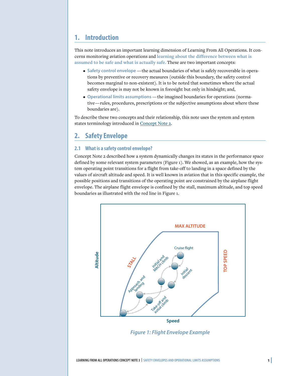## **1. Introduction**

This note introduces an important learning dimension of Learning From All Operations. It concerns monitoring aviation operations and **learning about the difference between what is assumed to be safe and what is actually safe.** These are two important concepts:

- **Safety control envelope** —the actual boundaries of what is safely recoverable in operations by preventive or recovery measures (outside this boundary, the safety control becomes marginal to non-existent). It is to be noted that sometimes where the actual safety envelope is may not be known in foresight but only in hindsight; and,
- **Operational limits assumptions** —the imagined boundaries for operations (normative—rules, procedures, prescriptions or the subjective assumptions about where these boundaries are).

To describe these two concepts and their relationship, this note uses the system and system states terminology introduced in [Concept Note 2.](https://flightsafety.org/wp-content/uploads/2022/03/LAO-Concept-Note-2_rev2.pdf)

## **2. Safety Envelope**

#### **2.1 What is a safety control envelope?**

Concept Note 2 described how a system dynamically changes its states in the performance space defined by some relevant system parameters (Figure 1). We showed, as an example, how the system operating point transitions for a flight from take-off to landing in a space defined by the values of aircraft altitude and speed. It is well known in aviation that in this specific example, the possible positions and transitions of the operating point are constrained by the airplane flight envelope. The airplane flight envelope is confined by the stall, maximum altitude, and top speed boundaries as illustrated with the red line in Figure 1.



*Figure 1: Flight Envelope Example*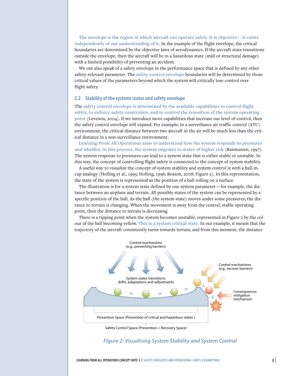**The envelope is the region in which aircraft can operate safely. It is objective—it exists independently of our understanding of it.** In the example of the flight envelope, the critical boundaries are determined by the objective laws of aerodynamics. If the aircraft state transitions outside the envelope, then the aircraft will be in a hazardous state (stall or structural damage) with a limited possibility of preventing an accident.

We can also speak of a safety envelope in the performance space that is defined by any other safety-relevant parameter. The **safety control envelope** boundaries will be determined by those critical values of the parameters beyond which the system will critically lose control over flight safety.

#### **2.2 Stability of the systems states and safety envelope**

The **safety control envelope is determined by the available capabilities to control flight safety, to enforce safety constraints, and to control the transition of the system operating point** (Leveson, 2004). If we introduce more capabilities that increase our level of control, then the safety control envelope will expand. For example, in a surveillance air traffic control (ATC) environment, the critical distance between two aircraft in the air will be much less than the critical distance in a non-surveillance environment.

**Learning From All Operations aims to understand how the system responds to pressures and whether, in this process, the system migrates to states of higher risk** (Rasmussen, 1997). The system response to pressures can lead to a system state that is either stable or unstable. In this way, the concept of controlling flight safety is connected to the concept of system stability.

A useful way to visualize the concept of system stability and system control is with a ball-incup analogy (Holling et al., 1995; Holling, 1996; Reason, 2008; Figure 2). In this representation, the state of the system is represented as the position of a ball rolling on a surface.

The illustration is for a system state defined by one system parameter—for example, the distance between an airplane and terrain. All possible states of the system can be represented by a specific position of the ball. As the ball (the system state) moves under some pressures, the distance to terrain is changing. When the movement is away from the central, stable operating point, then the distance to terrain is decreasing.

There is a tipping point when the system becomes unstable, represented in Figure 2 by the colour of the ball becoming yellow. **This is a system critical state.** In our example, it means that the trajectory of the aircraft consistently turns towards terrain, and from this moment, the distance



#### *Figure 2: Visualising System Stability and System Control*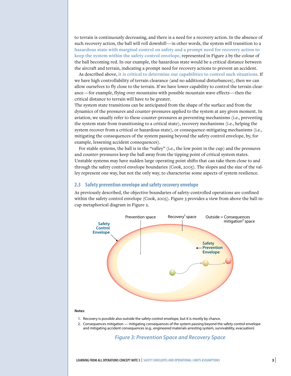to terrain is continuously decreasing, and there is a need for a recovery action. In the absence of such recovery action, the ball will roll downhill—in other words, the system will transition to a **hazardous state with marginal control on safety and a prompt need for recovery action to keep the system within the safety control envelope,** represented in Figure 2 by the colour of the ball becoming red. In our example, the hazardous state would be a critical distance between the aircraft and terrain, indicating a prompt need for recovery actions to prevent an accident.

As described above, **it is critical to determine our capabilities to control such situations**. If we have high controllability of terrain clearance (and no additional disturbances), then we can allow ourselves to fly close to the terrain. If we have lower capability to control the terrain clearance—for example, flying over mountains with possible mountain wave effects—then the critical distance to terrain will have to be greater.

The system state transitions can be anticipated from the shape of the surface and from the dynamics of the pressures and counter-pressures applied to the system at any given moment. In aviation, we usually refer to these counter-pressures as preventing mechanisms (i.e., preventing the system state from transitioning to a critical state), recovery mechanisms (i.e., helping the system recover from a critical or hazardous state), or consequence-mitigating mechanisms (i.e., mitigating the consequences of the system passing beyond the safety control envelope, by, for example, lessening accident consequences).

For stable systems, the ball is in the "valley" (i.e., the low point in the cup) and the pressures and counter-pressures keep the ball away from the tipping point of critical system states. Unstable systems may have sudden large operating point shifts that can take them close to and through the safety control envelope boundaries (Cook, 2005). The slopes and the size of the valley represent one way, but not the only way, to characterise some aspects of system resilience.

#### **2.3 Safety prevention envelope and safety recovery envelope**

As previously described, the objective boundaries of safety-controlled operations are confined within the safety control envelope (Cook, 2005). Figure 3 provides a view from above the ball-incup metaphorical diagram in Figure 2.



#### **Notes**:

- 1. Recovery is possible also outside the safety control envelope, but it is mostly by chance.
- 2. Consequences mitigation mitigating consequences of the system passing beyond the safety control envelope and mitigating accident consequences (e.g., engineered materials arresting system, survivability, evacuation)

#### *Figure 3: Prevention Space and Recovery Space*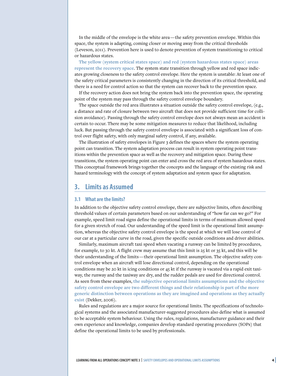In the middle of the envelope is the white area—the safety prevention envelope. Within this space, the system is adapting, coming closer or moving away from the critical thresholds (Leveson, 2011). Prevention here is used to denote prevention of system transitioning to critical or hazardous states.

**The yellow (system critical states space) and red (system hazardous states space) areas represent the recovery space**. The system state transition through yellow and red space indicates growing closeness to the safety control envelope. Here the system is unstable: At least one of the safety critical parameters is consistently changing in the direction of its critical threshold, and there is a need for control action so that the system can recover back to the prevention space.

If the recovery action does not bring the system back into the prevention space, the operating point of the system may pass through the safety control envelope boundary.

The space outside the red area illustrates a situation outside the safety control envelope, (e.g., a distance and rate of closure between two aircraft that does not provide sufficient time for collision avoidance). Passing through the safety control envelope does not always mean an accident is certain to occur. There may be some mitigation measures to reduce that likelihood, including luck. But passing through the safety control envelope is associated with a significant loss of control over flight safety, with only marginal safety control, if any, available.

The illustration of safety envelopes in Figure 3 defines the spaces where the system operating point can transition. The system adaptation process can result in system operating point transitions within the prevention space as well as the recovery and mitigation space. During these transitions, the system operating point can enter and cross the red area of system hazardous states. This conceptual framework brings together the concepts and the language of the existing risk and hazard terminology with the concept of system adaptation and system space for adaptation.

## **3. Limits as Assumed**

#### **3.1 What are the limits?**

In addition to the objective safety control envelope, there are subjective limits, often describing threshold values of certain parameters based on our understanding of "how far can we go?" For example, speed limit road signs define the operational limits in terms of maximum allowed speed for a given stretch of road. Our understanding of the speed limit is the operational limit assumption, whereas the objective safety control envelope is the speed at which we will lose control of our car at a particular curve in the road, given the specific outside conditions and driver abilities.

Similarly, maximum aircraft taxi speed when vacating a runway can be limited by procedures, for example, to 30 kt. A flight crew may assume that this limit is  $25$  kt or 35 kt, and this will be their understanding of the limits—their operational limit assumption. The objective safety control envelope when an aircraft will lose directional control, depending on the operational conditions may be 20 kt in icing conditions or 45 kt if the runway is vacated via a rapid exit taxiway, the runway and the taxiway are dry, and the rudder pedals are used for directional control. As seen from these examples, **the subjective operational limits assumptions and the objective safety control envelope are two different things and their relationship is part of the more generic distinction between operations as they are imagined and operations as they actually exist** (Dekker, 2006).

Rules and regulations are a major source for operational limits. The specifications of technological systems and the associated manufacturer-suggested procedures also define what is assumed to be acceptable system behaviour. Using the rules, regulations, manufacturer guidance and their own experience and knowledge, companies develop standard operating procedures (SOPs) that define the operational limits to be used by professionals.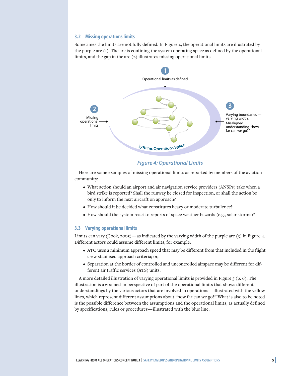#### **3.2 Missing operations limits**

Sometimes the limits are not fully defined. In Figure 4, the operational limits are illustrated by the purple arc (1). The arc is confining the system operating space as defined by the operational limits, and the gap in the arc (2) illustrates missing operational limits.



#### *Figure 4: Operational Limits*

Here are some examples of missing operational limits as reported by members of the aviation community:

- What action should an airport and air navigation service providers (ANSPs) take when a bird strike is reported? Shall the runway be closed for inspection, or shall the action be only to inform the next aircraft on approach?
- How should it be decided what constitutes heavy or moderate turbulence?
- How should the system react to reports of space weather hazards (e.g., solar storms)?

#### **3.3 Varying operational limits**

Limits can vary (Cook, 2005)—as indicated by the varying width of the purple arc  $(3)$  in Figure 4. Different actors could assume different limits, for example:

- ATC uses a minimum approach speed that may be different from that included in the flight crew stabilised approach criteria; or,
- Separation at the border of controlled and uncontrolled airspace may be different for different air traffic services (ATS) units.

A more detailed illustration of varying operational limits is provided in Figure  $5$  (p. 6). The illustration is a zoomed-in perspective of part of the operational limits that shows different understandings by the various actors that are involved in operations—illustrated with the yellow lines, which represent different assumptions about "how far can we go?" What is also to be noted is the possible difference between the assumptions and the operational limits, as actually defined by specifications, rules or procedures—illustrated with the blue line.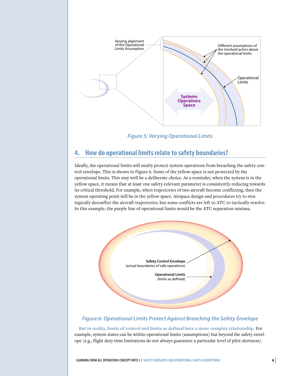

*Figure 5: Varying Operational Limits*

## **4. How do operational limits relate to safety boundaries?**

Ideally, the operational limits will neatly protect system operations from breaching the safety control envelope. This is shown in Figure 6. Some of the yellow space is not protected by the operational limits. This may well be a deliberate choice. As a reminder, when the system is in the yellow space, it means that at least one safety-relevant parameter is consistently reducing towards its critical threshold. For example, when trajectories of two aircraft become conflicting, then the system operating point will be in the yellow space. Airspace design and procedures try to strategically deconflict the aircraft trajectories, but some conflicts are left to ATC to tactically resolve. In this example, the purple line of operational limits would be the ATC separation minima.



## *Figure 6: Operational Limits Protect Against Breaching the Safety Envelope*

**But in reality, limits of control and limits as defined have a more complex relationship.** For example, system states can be within operational limits (assumptions) but beyond the safety envelope (e.g., flight duty time limitations do not always guarantee a particular level of pilot alertness).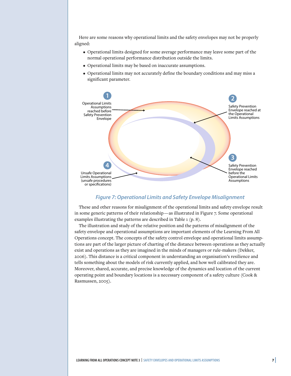Here are some reasons why operational limits and the safety envelopes may not be properly aligned:

- Operational limits designed for some average performance may leave some part of the normal operational performance distribution outside the limits.
- Operational limits may be based on inaccurate assumptions.
- Operational limits may not accurately define the boundary conditions and may miss a significant parameter.



#### *Figure 7: Operational Limits and Safety Envelope Misalignment*

These and other reasons for misalignment of the operational limits and safety envelope result in some generic patterns of their relationship—as illustrated in Figure 7. Some operational examples illustrating the patterns are described in Table 1 (p. 8).

The illustration and study of the relative position and the patterns of misalignment of the safety envelope and operational assumptions are important elements of the Learning From All Operations concept. The concepts of the safety control envelope and operational limits assumptions are part of the larger picture of charting of the distance between operations as they actually exist and operations as they are imagined in the minds of managers or rule-makers (Dekker, 2006). This distance is a critical component in understanding an organisation's resilience and tells something about the models of risk currently applied, and how well calibrated they are. Moreover, shared, accurate, and precise knowledge of the dynamics and location of the current operating point and boundary locations is a necessary component of a safety culture (Cook & Rasmussen, 2005).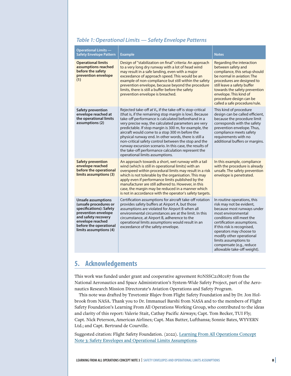## *Table 1: Operational Limits — Safety Envelope Patterns*

| <b>Operational Limits --</b><br><b>Safety Envelope Pattern</b>                                                                                                                                      | <b>Example</b>                                                                                                                                                                                                                                                                                                                                                                                                                                                                                                                                                                                                          | <b>Notes</b>                                                                                                                                                                                                                                                                                                                                     |
|-----------------------------------------------------------------------------------------------------------------------------------------------------------------------------------------------------|-------------------------------------------------------------------------------------------------------------------------------------------------------------------------------------------------------------------------------------------------------------------------------------------------------------------------------------------------------------------------------------------------------------------------------------------------------------------------------------------------------------------------------------------------------------------------------------------------------------------------|--------------------------------------------------------------------------------------------------------------------------------------------------------------------------------------------------------------------------------------------------------------------------------------------------------------------------------------------------|
| <b>Operational limits</b><br>assumptions reached<br>before the safety<br>prevention envelope<br>(1)                                                                                                 | Design of "stabilization on final" criteria: An approach<br>to a very long dry runway with a lot of head wind<br>may result in a safe landing, even with a major<br>exceedance of approach speed. This would be an<br>example of non-compliance but still within the safety<br>prevention envelope, because beyond the procedure<br>limits, there is still a buffer before the safety<br>prevention envelope is breached.                                                                                                                                                                                               | Regarding the interaction<br>between safety and<br>compliance, this setup should<br>be normal in aviation: The<br>procedures are designed to<br>still leave a safety buffer<br>towards the safety prevention<br>envelope. This kind of<br>procedure design can be<br>called a safe procedure/rule.                                               |
| Safety prevention<br>envelope reached at<br>the operational limits<br>assumptions (2)                                                                                                               | Rejected take-off at $V_1$ , if the take-off is stop-critical<br>(that is, if the remaining stop margin is low). Because<br>take-off performance is calculated beforehand in a<br>very precise way, the calculated parameters are very<br>predictable. If stop margin is 300 m, for example, the<br>aircraft would come to a stop 300 m before the<br>physical runway end. In other words, there is still a<br>non-critical safety control between the stop and the<br>runway excursion scenario. In this case, the results of<br>the take-off performance calculation represent the<br>operational limits assumptions. | This kind of procedure<br>design can be called efficient,<br>because the procedure limit<br>corresponds with the safety<br>prevention envelope. Thus,<br>compliance meets safety<br>requirements with no<br>additional buffers or margins.                                                                                                       |
| <b>Safety prevention</b><br>envelope reached<br>before the operational<br>limits assumptions (3)                                                                                                    | An approach towards a short, wet runway with a tail<br>wind (which is still in operational limits) with an<br>overspeed within procedural limits may result in a risk<br>which is not tolerable by the organisation. This may<br>apply even if performance limits published by the<br>manufacturer are still adhered to. However, in this<br>case, the margin may be reduced in a manner which<br>is not in accordance with the operator's safety targets.                                                                                                                                                              | In this example, compliance<br>with the procedure is already<br>unsafe. The safety prevention<br>envelope is penetrated.                                                                                                                                                                                                                         |
| <b>Unsafe assumptions</b><br>(unsafe procedures or<br>specifications): Safety<br>prevention envelope<br>and safety recovery<br>envelope reached<br>before the operational<br>limits assumptions (4) | Certification assumptions for aircraft take-off rotation<br>provides safety buffers at Airport A, but those<br>assumptions are violated for Airport B when all<br>environmental circumstances are at the limit. In this<br>circumstance, at Airport B, adherence to the<br>operational limits assumptions would result in an<br>exceedance of the safety envelope.                                                                                                                                                                                                                                                      | In routine operations, this<br>risk may not be evident,<br>because most runways under<br>most environmental<br>conditions still meet the<br>certification assumptions.<br>If this risk is recognised,<br>operators may choose to<br>modify other operational<br>limits assumptions to<br>compensate (e.g., reduce<br>allowable take-off weight). |

## **5. Acknowledgements**

This work was funded under grant and cooperative agreement 80NSSC21M0187 from the National Aeronautics and Space Administration's System-Wide Safety Project, part of the Aeronautics Research Mission Directorate's Aviation Operations and Safety Program.

This note was drafted by Tzvetomir Blajev from Flight Safety Foundation and by Dr. Jon Holbrook from NASA. Thank you to Dr. Immanuel Barshi from NASA and to the members of Flight Safety Foundation's Learning From All Operations Working Group, who contributed to the ideas and clarity of this report: Valerie Stait, Cathay Pacific Airways; Capt. Tom Becker, TUI Fly; Capt. Nick Peterson, American Airlines; Capt. Max Butter, Lufthansa; Sonnie Bates, WYVERN Ltd.; and Capt. Bertrand de Courville.

Suggested citation: Flight Safety Foundation. (2022). [Learning From All Operations Concept](https://flightsafety.org/toolkits-resources/learning-from-all-operations/) [Note 3: Safety Envelopes and Operational Limits Assumptions](https://flightsafety.org/toolkits-resources/learning-from-all-operations/)**.**